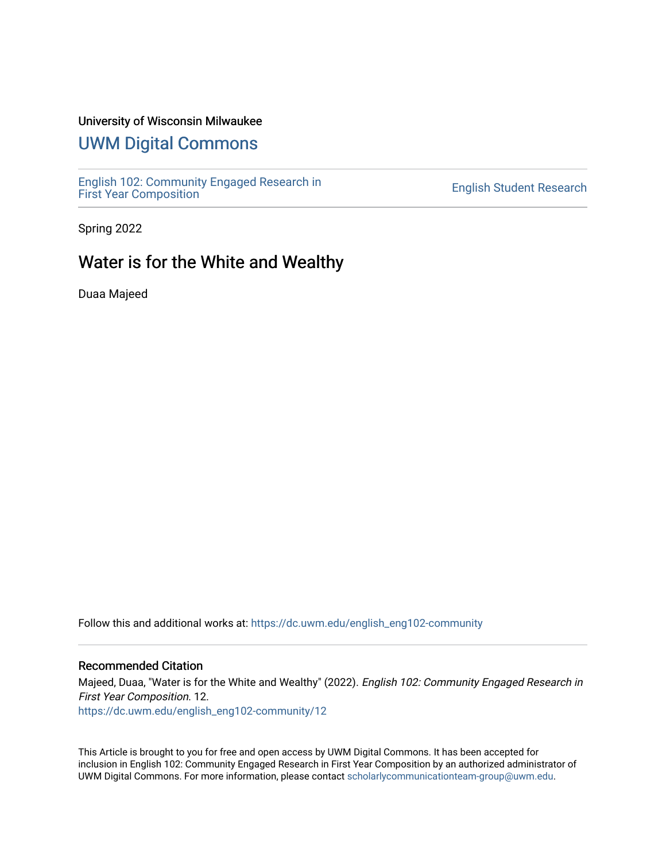## University of Wisconsin Milwaukee

## [UWM Digital Commons](https://dc.uwm.edu/)

[English 102: Community Engaged Research in](https://dc.uwm.edu/english_eng102-community) 

**English Student Research** 

Spring 2022

## Water is for the White and Wealthy

Duaa Majeed

Follow this and additional works at: [https://dc.uwm.edu/english\\_eng102-community](https://dc.uwm.edu/english_eng102-community?utm_source=dc.uwm.edu%2Fenglish_eng102-community%2F12&utm_medium=PDF&utm_campaign=PDFCoverPages) 

## Recommended Citation

Majeed, Duaa, "Water is for the White and Wealthy" (2022). English 102: Community Engaged Research in First Year Composition. 12. [https://dc.uwm.edu/english\\_eng102-community/12](https://dc.uwm.edu/english_eng102-community/12?utm_source=dc.uwm.edu%2Fenglish_eng102-community%2F12&utm_medium=PDF&utm_campaign=PDFCoverPages) 

This Article is brought to you for free and open access by UWM Digital Commons. It has been accepted for inclusion in English 102: Community Engaged Research in First Year Composition by an authorized administrator of UWM Digital Commons. For more information, please contact [scholarlycommunicationteam-group@uwm.edu.](mailto:scholarlycommunicationteam-group@uwm.edu)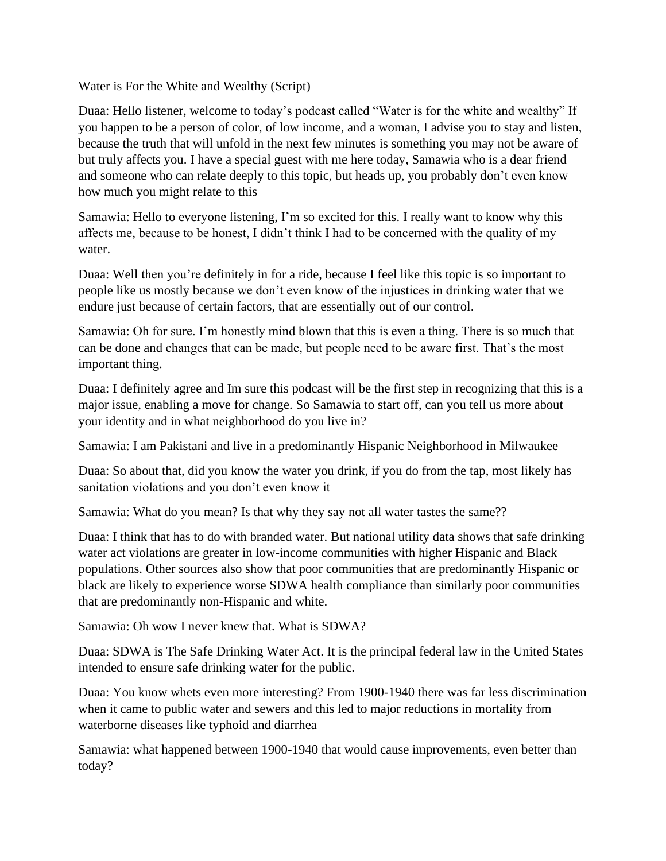Water is For the White and Wealthy (Script)

Duaa: Hello listener, welcome to today's podcast called "Water is for the white and wealthy" If you happen to be a person of color, of low income, and a woman, I advise you to stay and listen, because the truth that will unfold in the next few minutes is something you may not be aware of but truly affects you. I have a special guest with me here today, Samawia who is a dear friend and someone who can relate deeply to this topic, but heads up, you probably don't even know how much you might relate to this

Samawia: Hello to everyone listening, I'm so excited for this. I really want to know why this affects me, because to be honest, I didn't think I had to be concerned with the quality of my water.

Duaa: Well then you're definitely in for a ride, because I feel like this topic is so important to people like us mostly because we don't even know of the injustices in drinking water that we endure just because of certain factors, that are essentially out of our control.

Samawia: Oh for sure. I'm honestly mind blown that this is even a thing. There is so much that can be done and changes that can be made, but people need to be aware first. That's the most important thing.

Duaa: I definitely agree and Im sure this podcast will be the first step in recognizing that this is a major issue, enabling a move for change. So Samawia to start off, can you tell us more about your identity and in what neighborhood do you live in?

Samawia: I am Pakistani and live in a predominantly Hispanic Neighborhood in Milwaukee

Duaa: So about that, did you know the water you drink, if you do from the tap, most likely has sanitation violations and you don't even know it

Samawia: What do you mean? Is that why they say not all water tastes the same??

Duaa: I think that has to do with branded water. But national utility data shows that safe drinking water act violations are greater in low-income communities with higher Hispanic and Black populations. Other sources also show that poor communities that are predominantly Hispanic or black are likely to experience worse SDWA health compliance than similarly poor communities that are predominantly non-Hispanic and white.

Samawia: Oh wow I never knew that. What is SDWA?

Duaa: SDWA is The Safe Drinking Water Act. It is the principal federal law in the United States intended to ensure safe drinking water for the public.

Duaa: You know whets even more interesting? From 1900-1940 there was far less discrimination when it came to public water and sewers and this led to major reductions in mortality from waterborne diseases like typhoid and diarrhea

Samawia: what happened between 1900-1940 that would cause improvements, even better than today?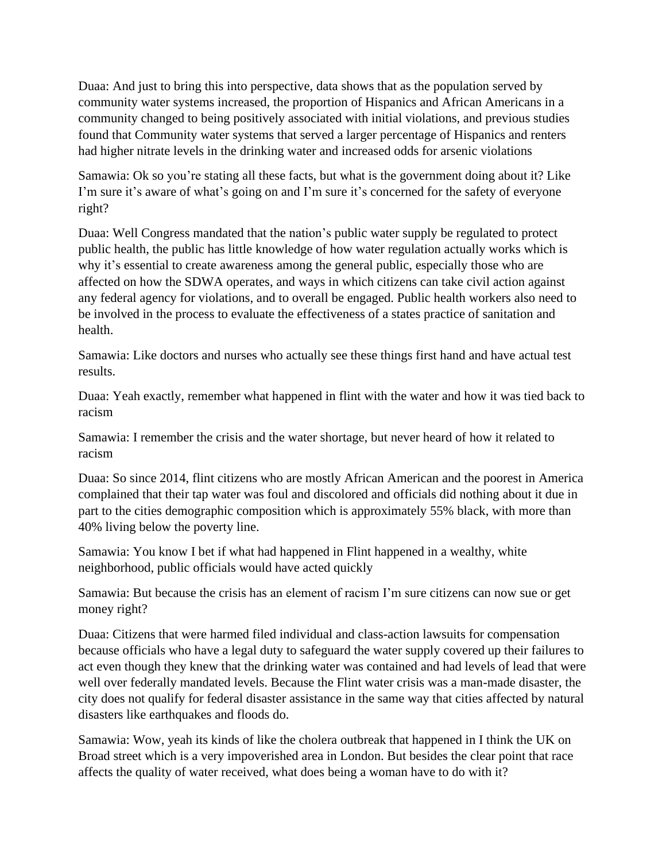Duaa: And just to bring this into perspective, data shows that as the population served by community water systems increased, the proportion of Hispanics and African Americans in a community changed to being positively associated with initial violations, and previous studies found that Community water systems that served a larger percentage of Hispanics and renters had higher nitrate levels in the drinking water and increased odds for arsenic violations

Samawia: Ok so you're stating all these facts, but what is the government doing about it? Like I'm sure it's aware of what's going on and I'm sure it's concerned for the safety of everyone right?

Duaa: Well Congress mandated that the nation's public water supply be regulated to protect public health, the public has little knowledge of how water regulation actually works which is why it's essential to create awareness among the general public, especially those who are affected on how the SDWA operates, and ways in which citizens can take civil action against any federal agency for violations, and to overall be engaged. Public health workers also need to be involved in the process to evaluate the effectiveness of a states practice of sanitation and health.

Samawia: Like doctors and nurses who actually see these things first hand and have actual test results.

Duaa: Yeah exactly, remember what happened in flint with the water and how it was tied back to racism

Samawia: I remember the crisis and the water shortage, but never heard of how it related to racism

Duaa: So since 2014, flint citizens who are mostly African American and the poorest in America complained that their tap water was foul and discolored and officials did nothing about it due in part to the cities demographic composition which is approximately 55% black, with more than 40% living below the poverty line.

Samawia: You know I bet if what had happened in Flint happened in a wealthy, white neighborhood, public officials would have acted quickly

Samawia: But because the crisis has an element of racism I'm sure citizens can now sue or get money right?

Duaa: Citizens that were harmed filed individual and class-action lawsuits for compensation because officials who have a legal duty to safeguard the water supply covered up their failures to act even though they knew that the drinking water was contained and had levels of lead that were well over federally mandated levels. Because the Flint water crisis was a man-made disaster, the city does not qualify for federal disaster assistance in the same way that cities affected by natural disasters like earthquakes and floods do.

Samawia: Wow, yeah its kinds of like the cholera outbreak that happened in I think the UK on Broad street which is a very impoverished area in London. But besides the clear point that race affects the quality of water received, what does being a woman have to do with it?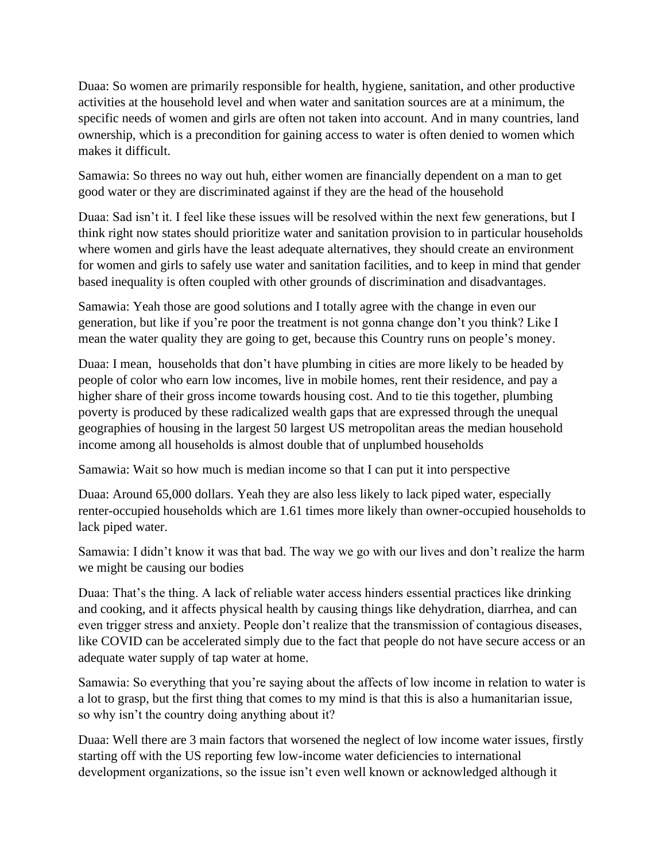Duaa: So women are primarily responsible for health, hygiene, sanitation, and other productive activities at the household level and when water and sanitation sources are at a minimum, the specific needs of women and girls are often not taken into account. And in many countries, land ownership, which is a precondition for gaining access to water is often denied to women which makes it difficult.

Samawia: So threes no way out huh, either women are financially dependent on a man to get good water or they are discriminated against if they are the head of the household

Duaa: Sad isn't it. I feel like these issues will be resolved within the next few generations, but I think right now states should prioritize water and sanitation provision to in particular households where women and girls have the least adequate alternatives, they should create an environment for women and girls to safely use water and sanitation facilities, and to keep in mind that gender based inequality is often coupled with other grounds of discrimination and disadvantages.

Samawia: Yeah those are good solutions and I totally agree with the change in even our generation, but like if you're poor the treatment is not gonna change don't you think? Like I mean the water quality they are going to get, because this Country runs on people's money.

Duaa: I mean, households that don't have plumbing in cities are more likely to be headed by people of color who earn low incomes, live in mobile homes, rent their residence, and pay a higher share of their gross income towards housing cost. And to tie this together, plumbing poverty is produced by these radicalized wealth gaps that are expressed through the unequal geographies of housing in the largest 50 largest US metropolitan areas the median household income among all households is almost double that of unplumbed households

Samawia: Wait so how much is median income so that I can put it into perspective

Duaa: Around 65,000 dollars. Yeah they are also less likely to lack piped water, especially renter-occupied households which are 1.61 times more likely than owner-occupied households to lack piped water.

Samawia: I didn't know it was that bad. The way we go with our lives and don't realize the harm we might be causing our bodies

Duaa: That's the thing. A lack of reliable water access hinders essential practices like drinking and cooking, and it affects physical health by causing things like dehydration, diarrhea, and can even trigger stress and anxiety. People don't realize that the transmission of contagious diseases, like COVID can be accelerated simply due to the fact that people do not have secure access or an adequate water supply of tap water at home.

Samawia: So everything that you're saying about the affects of low income in relation to water is a lot to grasp, but the first thing that comes to my mind is that this is also a humanitarian issue, so why isn't the country doing anything about it?

Duaa: Well there are 3 main factors that worsened the neglect of low income water issues, firstly starting off with the US reporting few low-income water deficiencies to international development organizations, so the issue isn't even well known or acknowledged although it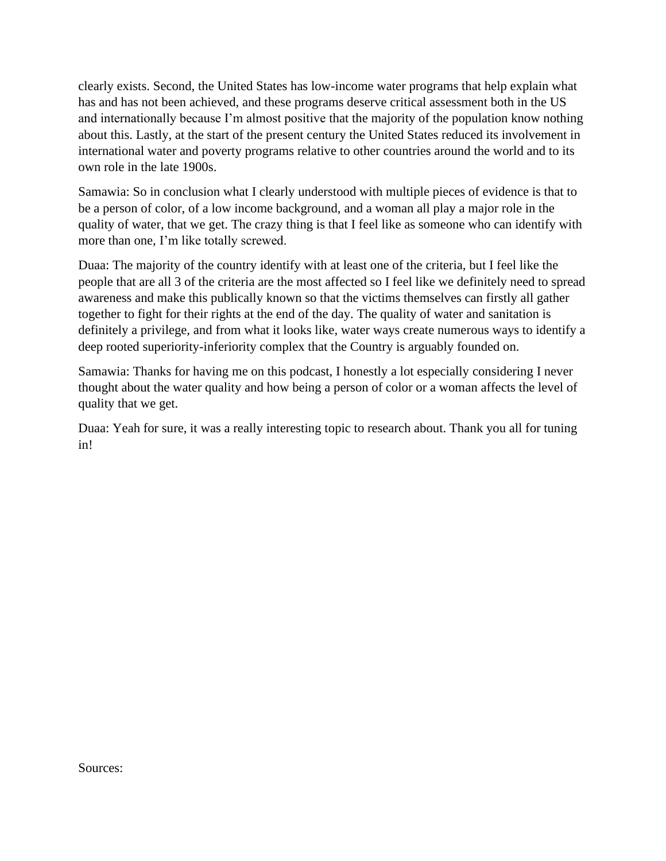clearly exists. Second, the United States has low-income water programs that help explain what has and has not been achieved, and these programs deserve critical assessment both in the US and internationally because I'm almost positive that the majority of the population know nothing about this. Lastly, at the start of the present century the United States reduced its involvement in international water and poverty programs relative to other countries around the world and to its own role in the late 1900s.

Samawia: So in conclusion what I clearly understood with multiple pieces of evidence is that to be a person of color, of a low income background, and a woman all play a major role in the quality of water, that we get. The crazy thing is that I feel like as someone who can identify with more than one, I'm like totally screwed.

Duaa: The majority of the country identify with at least one of the criteria, but I feel like the people that are all 3 of the criteria are the most affected so I feel like we definitely need to spread awareness and make this publically known so that the victims themselves can firstly all gather together to fight for their rights at the end of the day. The quality of water and sanitation is definitely a privilege, and from what it looks like, water ways create numerous ways to identify a deep rooted superiority-inferiority complex that the Country is arguably founded on.

Samawia: Thanks for having me on this podcast, I honestly a lot especially considering I never thought about the water quality and how being a person of color or a woman affects the level of quality that we get.

Duaa: Yeah for sure, it was a really interesting topic to research about. Thank you all for tuning in!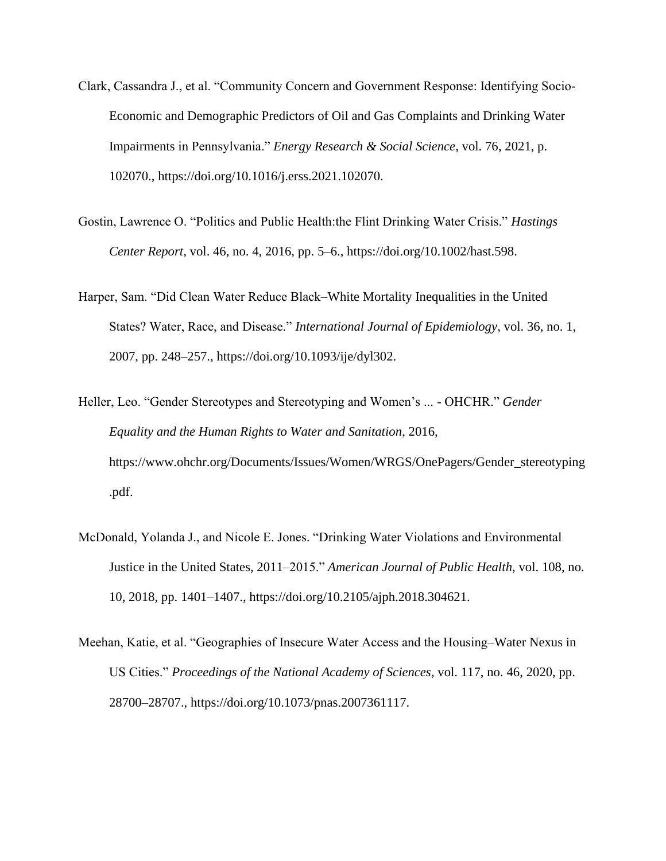- Clark, Cassandra J., et al. "Community Concern and Government Response: Identifying Socio-Economic and Demographic Predictors of Oil and Gas Complaints and Drinking Water Impairments in Pennsylvania." *Energy Research & Social Science*, vol. 76, 2021, p. 102070., https://doi.org/10.1016/j.erss.2021.102070.
- Gostin, Lawrence O. "Politics and Public Health:the Flint Drinking Water Crisis." *Hastings Center Report*, vol. 46, no. 4, 2016, pp. 5–6., https://doi.org/10.1002/hast.598.
- Harper, Sam. "Did Clean Water Reduce Black–White Mortality Inequalities in the United States? Water, Race, and Disease." *International Journal of Epidemiology*, vol. 36, no. 1, 2007, pp. 248–257., https://doi.org/10.1093/ije/dyl302.
- Heller, Leo. "Gender Stereotypes and Stereotyping and Women's ... OHCHR." *Gender Equality and the Human Rights to Water and Sanitation*, 2016, https://www.ohchr.org/Documents/Issues/Women/WRGS/OnePagers/Gender\_stereotyping .pdf.
- McDonald, Yolanda J., and Nicole E. Jones. "Drinking Water Violations and Environmental Justice in the United States, 2011–2015." *American Journal of Public Health*, vol. 108, no. 10, 2018, pp. 1401–1407., https://doi.org/10.2105/ajph.2018.304621.
- Meehan, Katie, et al. "Geographies of Insecure Water Access and the Housing–Water Nexus in US Cities." *Proceedings of the National Academy of Sciences*, vol. 117, no. 46, 2020, pp. 28700–28707., https://doi.org/10.1073/pnas.2007361117.